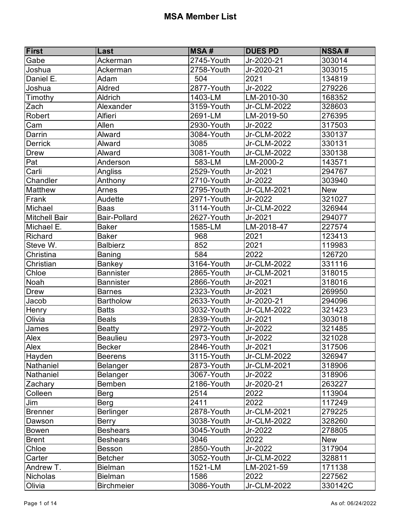| First                | Last                | <b>MSA#</b>    | <b>DUES PD</b> | <b>NSSA#</b> |
|----------------------|---------------------|----------------|----------------|--------------|
| Gabe                 | Ackerman            | 2745-Youth     | Jr-2020-21     | 303014       |
| Joshua               | Ackerman            | 2758-Youth     | Jr-2020-21     | 303015       |
| Daniel E.            | Adam                | 504            | 2021           | 134819       |
| Joshua               | Aldred              | 2877-Youth     | Jr-2022        | 279226       |
| Timothy              | <b>Aldrich</b>      | 1403-LM        | LM-2010-30     | 168352       |
| Zach                 | Alexander           | 3159-Youth     | Jr-CLM-2022    | 328603       |
| Robert               | <b>Alfieri</b>      | 2691-LM        | LM-2019-50     | 276395       |
| Cam                  | Allen               | 2930-Youth     | Jr-2022        | 317503       |
| Darrin               | Alward              | 3084-Youth     | Jr-CLM-2022    | 330137       |
| <b>Derrick</b>       | Alward              | 3085           | Jr-CLM-2022    | 330131       |
| <b>Drew</b>          | Alward              | 3081-Youth     | Jr-CLM-2022    | 330138       |
| Pat                  | Anderson            | 583-LM         | LM-2000-2      | 143571       |
| Carli                | Angliss             | 2529-Youth     | Jr-2021        | 294767       |
| Chandler             | Anthony             | 2710-Youth     | Jr-2022        | 303940       |
| <b>Matthew</b>       | Arnes               | 2795-Youth     | Jr-CLM-2021    | <b>New</b>   |
| Frank                | Audette             | 2971-Youth     | Jr-2022        | 321027       |
| Michael              | <b>Baas</b>         | 3114-Youth     | Jr-CLM-2022    | 326944       |
| <b>Mitchell Bair</b> | <b>Bair-Pollard</b> | 2627-Youth     | Jr-2021        | 294077       |
| Michael E.           | <b>Baker</b>        | 1585-LM        | LM-2018-47     | 227574       |
| Richard              | <b>Baker</b>        | 968            | 2021           | 123413       |
| Steve W.             | <b>Balbierz</b>     | 852            | 2021           | 119983       |
| Christina            | <b>Baning</b>       | 584            | 2022           | 126720       |
| Christian            | <b>Bankey</b>       | 3164-Youth     | Jr-CLM-2022    | 331116       |
| Chloe                | <b>Bannister</b>    | 2865-Youth     | Jr-CLM-2021    | 318015       |
| Noah                 | <b>Bannister</b>    | 2866-Youth     | Jr-2021        | 318016       |
| <b>Drew</b>          | <b>Barnes</b>       | 2323-Youth     | Jr-2021        | 269950       |
| Jacob                | Bartholow           | $2633 -$ Youth | Jr-2020-21     | 294096       |
| Henry                | <b>Batts</b>        | 3032-Youth     | Jr-CLM-2022    | 321423       |
| Olivia               | <b>Beals</b>        | 2839-Youth     | Jr-2021        | 303018       |
| James                | <b>Beatty</b>       | $2972$ -Youth  | Jr-2022        | 321485       |
| Alex                 | <b>Beaulieu</b>     | 2973-Youth     | Jr-2022        | 321028       |
| Alex                 | <b>Becker</b>       | 2846-Youth     | Jr-2021        | 317506       |
| Hayden               | <b>Beerens</b>      | 3115-Youth     | Jr-CLM-2022    | 326947       |
| Nathaniel            | Belanger            | 2873-Youth     | Jr-CLM-2021    | 318906       |
| Nathaniel            | Belanger            | 3067-Youth     | Jr-2022        | 318906       |
| Zachary              | Bemben              | 2186-Youth     | Jr-2020-21     | 263227       |
| Colleen              | Berg                | 2514           | 2022           | 113904       |
| Jim                  | Berg                | 2411           | 2022           | 117249       |
| <b>Brenner</b>       | <b>Berlinger</b>    | 2878-Youth     | Jr-CLM-2021    | 279225       |
| Dawson               | <b>Berry</b>        | 3038-Youth     | Jr-CLM-2022    | 328260       |
| <b>Bowen</b>         | <b>Beshears</b>     | 3045-Youth     | Jr-2022        | 278805       |
| <b>Brent</b>         | <b>Beshears</b>     | 3046           | 2022           | <b>New</b>   |
| Chloe                | <b>Besson</b>       | 2850-Youth     | Jr-2022        | 317904       |
| Carter               | <b>Betcher</b>      | 3052-Youth     | Jr-CLM-2022    | 328811       |
| Andrew T.            | <b>Bielman</b>      | 1521-LM        | LM-2021-59     | 171138       |
| Nicholas             | <b>Bielman</b>      | 1586           | 2022           | 227562       |
| Olivia               | <b>Birchmeier</b>   | 3086-Youth     | Jr-CLM-2022    | 330142C      |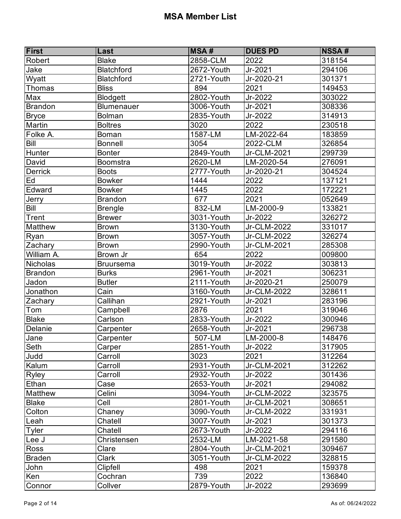| <b>First</b>    | Last              | <b>MSA#</b>              | <b>DUES PD</b> | <b>NSSA#</b> |
|-----------------|-------------------|--------------------------|----------------|--------------|
| Robert          | <b>Blake</b>      | 2858-CLM                 | 2022           | 318154       |
| Jake            | <b>Blatchford</b> | 2672-Youth               | Jr-2021        | 294106       |
| Wyatt           | <b>Blatchford</b> | 2721-Youth               | Jr-2020-21     | 301371       |
| Thomas          | <b>Bliss</b>      | 894                      | 2021           | 149453       |
| Max             | <b>Blodgett</b>   | 2802-Youth               | Jr-2022        | 303022       |
| <b>Brandon</b>  | <b>Blumenauer</b> | 3006-Youth               | Jr-2021        | 308336       |
| <b>Bryce</b>    | <b>Bolman</b>     | 2835-Youth               | Jr-2022        | 314913       |
| Martin          | <b>Boltres</b>    | 3020                     | 2022           | 230518       |
| Folke A.        | <b>Boman</b>      | 1587-LM                  | LM-2022-64     | 183859       |
| <b>Bill</b>     | <b>Bonnell</b>    | 3054                     | 2022-CLM       | 326854       |
| Hunter          | <b>Bonter</b>     | 2849-Youth               | Jr-CLM-2021    | 299739       |
| David           | Boomstra          | 2620-LM                  | LM-2020-54     | 276091       |
| <b>Derrick</b>  | <b>Boots</b>      | $\overline{2777}$ -Youth | Jr-2020-21     | 304524       |
| Ed              | <b>Bowker</b>     | 1444                     | 2022           | 137121       |
| Edward          | <b>Bowker</b>     | 1445                     | 2022           | 172221       |
| Jerry           | <b>Brandon</b>    | 677                      | 2021           | 052649       |
| Bill            | <b>Brengle</b>    | 832-LM                   | LM-2000-9      | 133821       |
| Trent           | <b>Brewer</b>     | 3031-Youth               | Jr-2022        | 326272       |
| <b>Matthew</b>  | <b>Brown</b>      | 3130-Youth               | Jr-CLM-2022    | 331017       |
| Ryan            | <b>Brown</b>      | 3057-Youth               | Jr-CLM-2022    | 326274       |
| Zachary         | <b>Brown</b>      | 2990-Youth               | Jr-CLM-2021    | 285308       |
| William A.      | Brown Jr          | 654                      | 2022           | 009800       |
| <b>Nicholas</b> | <b>Bruursema</b>  | 3019-Youth               | Jr-2022        | 303813       |
| <b>Brandon</b>  | <b>Burks</b>      | 2961-Youth               | $Jr-2021$      | 306231       |
| Jadon           | <b>Butler</b>     | 2111-Youth               | Jr-2020-21     | 250079       |
| Jonathon        | Cain              | 3160-Youth               | Jr-CLM-2022    | 328611       |
| Zachary         | Callihan          | 2921-Youth               | Jr-2021        | 283196       |
| Tom             | Campbell          | 2876                     | 2021           | 319046       |
| <b>Blake</b>    | Carlson           | 2833-Youth               | Jr-2022        | 300946       |
| Delanie         | Carpenter         | 2658-Youth               | $Jr-2021$      | 296738       |
| Jane            | Carpenter         | 507-LM                   | LM-2000-8      | 148476       |
| Seth            | Carper            | 2851-Youth               | Jr-2022        | 317905       |
| Judd            | Carroll           | 3023                     | 2021           | 312264       |
| Kalum           | Carroll           | 2931-Youth               | Jr-CLM-2021    | 312262       |
| Ryley           | Carroll           | 2932-Youth               | Jr-2022        | 301436       |
| Ethan           | Case              | 2653-Youth               | Jr-2021        | 294082       |
| <b>Matthew</b>  | Celini            | 3094-Youth               | Jr-CLM-2022    | 323575       |
| <b>Blake</b>    | Cell              | 2801-Youth               | Jr-CLM-2021    | 308651       |
| Colton          | Chaney            | 3090-Youth               | Jr-CLM-2022    | 331931       |
| Leah            | Chatell           | 3007-Youth               | Jr-2021        | 301373       |
| Tyler           | Chatell           | 2673-Youth               | Jr-2022        | 294116       |
| Lee J           | Christensen       | 2532-LM                  | LM-2021-58     | 291580       |
| <b>Ross</b>     | Clare             | 2804-Youth               | Jr-CLM-2021    | 309467       |
| <b>Braden</b>   | Clark             | 3051-Youth               | Jr-CLM-2022    | 328815       |
| John            | Clipfell          | 498                      | 2021           | 159378       |
| Ken             | Cochran           | 739                      | 2022           | 136840       |
| Connor          | Collver           | 2879-Youth               | Jr-2022        | 293699       |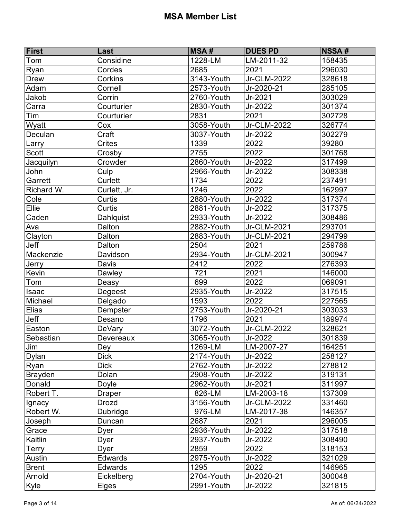| Considine<br>1228-LM<br>LM-2011-32<br>158435<br>Tom<br>Ryan<br>2685<br>2021<br>296030<br>Cordes<br>3143-Youth<br>Jr-CLM-2022<br>328618<br>Corkins<br><b>Drew</b><br>2573-Youth<br>Cornell<br>Jr-2020-21<br>285105<br>Adam<br>2760-Youth<br>Jr-2021<br>303029<br>Jakob<br>Corrin<br>Carra<br>2830-Youth<br>Jr-2022<br>301374<br>Courturier<br>Tim<br>2831<br>2021<br>302728<br>Courturier<br>3058-Youth<br>Jr-CLM-2022<br>326774<br>Wyatt<br>Cox<br>Craft<br>3037-Youth<br>Jr-2022<br>302279<br>Deculan<br>Larry<br>1339<br>2022<br>39280<br>Crites<br>2755<br>2022<br>301768<br><b>Scott</b><br>Crosby<br>2860-Youth<br>Jr-2022<br>317499<br>Jacquilyn<br>Crowder<br>2966-Youth<br>308338<br>John<br>Culp<br>Jr-2022<br>Garrett<br>Curlett<br>1734<br>2022<br>237491<br>Richard W.<br>1246<br>2022<br>162997<br>Curlett, Jr.<br>Cole<br>2880-Youth<br>Jr-2022<br>317374<br>Curtis<br>Ellie<br>Curtis<br>2881-Youth<br>Jr-2022<br>317375<br>Caden<br>Dahlquist<br>2933-Youth<br>Jr-2022<br>308486<br>2882-Youth<br>Ava<br>Jr-CLM-2021<br>293701<br>Dalton<br>Clayton<br>2883-Youth<br>Jr-CLM-2021<br>294799<br>Dalton<br>Jeff<br>2504<br>259786<br>2021<br>Dalton<br>Mackenzie<br>2934-Youth<br>Jr-CLM-2021<br>300947<br>Davidson<br>2412<br>2022<br>276393<br>Jerry<br>Davis<br>721<br>Kevin<br>2021<br>146000<br>Dawley<br>Tom<br>699<br>2022<br>069091<br>Deasy<br>2935-Youth<br>Jr-2022<br>317515<br>Degeest<br><b>Isaac</b> |
|---------------------------------------------------------------------------------------------------------------------------------------------------------------------------------------------------------------------------------------------------------------------------------------------------------------------------------------------------------------------------------------------------------------------------------------------------------------------------------------------------------------------------------------------------------------------------------------------------------------------------------------------------------------------------------------------------------------------------------------------------------------------------------------------------------------------------------------------------------------------------------------------------------------------------------------------------------------------------------------------------------------------------------------------------------------------------------------------------------------------------------------------------------------------------------------------------------------------------------------------------------------------------------------------------------------------------------------------------------------------------------------------------------------------------------|
|                                                                                                                                                                                                                                                                                                                                                                                                                                                                                                                                                                                                                                                                                                                                                                                                                                                                                                                                                                                                                                                                                                                                                                                                                                                                                                                                                                                                                                 |
|                                                                                                                                                                                                                                                                                                                                                                                                                                                                                                                                                                                                                                                                                                                                                                                                                                                                                                                                                                                                                                                                                                                                                                                                                                                                                                                                                                                                                                 |
|                                                                                                                                                                                                                                                                                                                                                                                                                                                                                                                                                                                                                                                                                                                                                                                                                                                                                                                                                                                                                                                                                                                                                                                                                                                                                                                                                                                                                                 |
|                                                                                                                                                                                                                                                                                                                                                                                                                                                                                                                                                                                                                                                                                                                                                                                                                                                                                                                                                                                                                                                                                                                                                                                                                                                                                                                                                                                                                                 |
|                                                                                                                                                                                                                                                                                                                                                                                                                                                                                                                                                                                                                                                                                                                                                                                                                                                                                                                                                                                                                                                                                                                                                                                                                                                                                                                                                                                                                                 |
|                                                                                                                                                                                                                                                                                                                                                                                                                                                                                                                                                                                                                                                                                                                                                                                                                                                                                                                                                                                                                                                                                                                                                                                                                                                                                                                                                                                                                                 |
|                                                                                                                                                                                                                                                                                                                                                                                                                                                                                                                                                                                                                                                                                                                                                                                                                                                                                                                                                                                                                                                                                                                                                                                                                                                                                                                                                                                                                                 |
|                                                                                                                                                                                                                                                                                                                                                                                                                                                                                                                                                                                                                                                                                                                                                                                                                                                                                                                                                                                                                                                                                                                                                                                                                                                                                                                                                                                                                                 |
|                                                                                                                                                                                                                                                                                                                                                                                                                                                                                                                                                                                                                                                                                                                                                                                                                                                                                                                                                                                                                                                                                                                                                                                                                                                                                                                                                                                                                                 |
|                                                                                                                                                                                                                                                                                                                                                                                                                                                                                                                                                                                                                                                                                                                                                                                                                                                                                                                                                                                                                                                                                                                                                                                                                                                                                                                                                                                                                                 |
|                                                                                                                                                                                                                                                                                                                                                                                                                                                                                                                                                                                                                                                                                                                                                                                                                                                                                                                                                                                                                                                                                                                                                                                                                                                                                                                                                                                                                                 |
|                                                                                                                                                                                                                                                                                                                                                                                                                                                                                                                                                                                                                                                                                                                                                                                                                                                                                                                                                                                                                                                                                                                                                                                                                                                                                                                                                                                                                                 |
|                                                                                                                                                                                                                                                                                                                                                                                                                                                                                                                                                                                                                                                                                                                                                                                                                                                                                                                                                                                                                                                                                                                                                                                                                                                                                                                                                                                                                                 |
|                                                                                                                                                                                                                                                                                                                                                                                                                                                                                                                                                                                                                                                                                                                                                                                                                                                                                                                                                                                                                                                                                                                                                                                                                                                                                                                                                                                                                                 |
|                                                                                                                                                                                                                                                                                                                                                                                                                                                                                                                                                                                                                                                                                                                                                                                                                                                                                                                                                                                                                                                                                                                                                                                                                                                                                                                                                                                                                                 |
|                                                                                                                                                                                                                                                                                                                                                                                                                                                                                                                                                                                                                                                                                                                                                                                                                                                                                                                                                                                                                                                                                                                                                                                                                                                                                                                                                                                                                                 |
|                                                                                                                                                                                                                                                                                                                                                                                                                                                                                                                                                                                                                                                                                                                                                                                                                                                                                                                                                                                                                                                                                                                                                                                                                                                                                                                                                                                                                                 |
|                                                                                                                                                                                                                                                                                                                                                                                                                                                                                                                                                                                                                                                                                                                                                                                                                                                                                                                                                                                                                                                                                                                                                                                                                                                                                                                                                                                                                                 |
|                                                                                                                                                                                                                                                                                                                                                                                                                                                                                                                                                                                                                                                                                                                                                                                                                                                                                                                                                                                                                                                                                                                                                                                                                                                                                                                                                                                                                                 |
|                                                                                                                                                                                                                                                                                                                                                                                                                                                                                                                                                                                                                                                                                                                                                                                                                                                                                                                                                                                                                                                                                                                                                                                                                                                                                                                                                                                                                                 |
|                                                                                                                                                                                                                                                                                                                                                                                                                                                                                                                                                                                                                                                                                                                                                                                                                                                                                                                                                                                                                                                                                                                                                                                                                                                                                                                                                                                                                                 |
|                                                                                                                                                                                                                                                                                                                                                                                                                                                                                                                                                                                                                                                                                                                                                                                                                                                                                                                                                                                                                                                                                                                                                                                                                                                                                                                                                                                                                                 |
|                                                                                                                                                                                                                                                                                                                                                                                                                                                                                                                                                                                                                                                                                                                                                                                                                                                                                                                                                                                                                                                                                                                                                                                                                                                                                                                                                                                                                                 |
|                                                                                                                                                                                                                                                                                                                                                                                                                                                                                                                                                                                                                                                                                                                                                                                                                                                                                                                                                                                                                                                                                                                                                                                                                                                                                                                                                                                                                                 |
|                                                                                                                                                                                                                                                                                                                                                                                                                                                                                                                                                                                                                                                                                                                                                                                                                                                                                                                                                                                                                                                                                                                                                                                                                                                                                                                                                                                                                                 |
|                                                                                                                                                                                                                                                                                                                                                                                                                                                                                                                                                                                                                                                                                                                                                                                                                                                                                                                                                                                                                                                                                                                                                                                                                                                                                                                                                                                                                                 |
| 227565<br>Michael<br>1593<br>2022<br>Delgado                                                                                                                                                                                                                                                                                                                                                                                                                                                                                                                                                                                                                                                                                                                                                                                                                                                                                                                                                                                                                                                                                                                                                                                                                                                                                                                                                                                    |
| Elias<br>Dempster<br>2753-Youth<br>Jr-2020-21<br>303033                                                                                                                                                                                                                                                                                                                                                                                                                                                                                                                                                                                                                                                                                                                                                                                                                                                                                                                                                                                                                                                                                                                                                                                                                                                                                                                                                                         |
| <b>Jeff</b><br>1796<br>2021<br>189974<br>Desano                                                                                                                                                                                                                                                                                                                                                                                                                                                                                                                                                                                                                                                                                                                                                                                                                                                                                                                                                                                                                                                                                                                                                                                                                                                                                                                                                                                 |
| 3072-Youth<br>Easton<br>Jr-CLM-2022<br>328621<br><b>DeVary</b>                                                                                                                                                                                                                                                                                                                                                                                                                                                                                                                                                                                                                                                                                                                                                                                                                                                                                                                                                                                                                                                                                                                                                                                                                                                                                                                                                                  |
| Sebastian<br>3065-Youth<br>Jr-2022<br>301839<br>Devereaux                                                                                                                                                                                                                                                                                                                                                                                                                                                                                                                                                                                                                                                                                                                                                                                                                                                                                                                                                                                                                                                                                                                                                                                                                                                                                                                                                                       |
| Jim<br>1269-LM<br>LM-2007-27<br>164251<br>Dey                                                                                                                                                                                                                                                                                                                                                                                                                                                                                                                                                                                                                                                                                                                                                                                                                                                                                                                                                                                                                                                                                                                                                                                                                                                                                                                                                                                   |
| <b>Dick</b><br>258127<br>2174-Youth<br><b>Dylan</b><br>Jr-2022                                                                                                                                                                                                                                                                                                                                                                                                                                                                                                                                                                                                                                                                                                                                                                                                                                                                                                                                                                                                                                                                                                                                                                                                                                                                                                                                                                  |
| <b>Dick</b><br>2762-Youth<br>Jr-2022<br>278812<br>Ryan                                                                                                                                                                                                                                                                                                                                                                                                                                                                                                                                                                                                                                                                                                                                                                                                                                                                                                                                                                                                                                                                                                                                                                                                                                                                                                                                                                          |
| 319131<br>2908-Youth<br>Jr-2022<br>Brayden<br>Dolan                                                                                                                                                                                                                                                                                                                                                                                                                                                                                                                                                                                                                                                                                                                                                                                                                                                                                                                                                                                                                                                                                                                                                                                                                                                                                                                                                                             |
| 2962-Youth<br>311997<br>Donald<br>Jr-2021<br>Doyle                                                                                                                                                                                                                                                                                                                                                                                                                                                                                                                                                                                                                                                                                                                                                                                                                                                                                                                                                                                                                                                                                                                                                                                                                                                                                                                                                                              |
| Robert T.<br>826-LM<br>LM-2003-18<br>137309<br>Draper                                                                                                                                                                                                                                                                                                                                                                                                                                                                                                                                                                                                                                                                                                                                                                                                                                                                                                                                                                                                                                                                                                                                                                                                                                                                                                                                                                           |
| 3156-Youth<br>331460<br>Jr-CLM-2022<br>Ignacy<br>Drozd                                                                                                                                                                                                                                                                                                                                                                                                                                                                                                                                                                                                                                                                                                                                                                                                                                                                                                                                                                                                                                                                                                                                                                                                                                                                                                                                                                          |
| Robert W.<br>976-LM<br>LM-2017-38<br>146357<br>Dubridge                                                                                                                                                                                                                                                                                                                                                                                                                                                                                                                                                                                                                                                                                                                                                                                                                                                                                                                                                                                                                                                                                                                                                                                                                                                                                                                                                                         |
| 2687<br>296005<br>2021<br>Joseph<br>Duncan                                                                                                                                                                                                                                                                                                                                                                                                                                                                                                                                                                                                                                                                                                                                                                                                                                                                                                                                                                                                                                                                                                                                                                                                                                                                                                                                                                                      |
| 2936-Youth<br>317518<br>Jr-2022<br>Grace<br>Dyer                                                                                                                                                                                                                                                                                                                                                                                                                                                                                                                                                                                                                                                                                                                                                                                                                                                                                                                                                                                                                                                                                                                                                                                                                                                                                                                                                                                |
| Kaitlin<br>2937-Youth<br>308490<br>Jr-2022<br>Dyer                                                                                                                                                                                                                                                                                                                                                                                                                                                                                                                                                                                                                                                                                                                                                                                                                                                                                                                                                                                                                                                                                                                                                                                                                                                                                                                                                                              |
| 318153<br><b>Terry</b><br>2859<br>2022<br>Dyer                                                                                                                                                                                                                                                                                                                                                                                                                                                                                                                                                                                                                                                                                                                                                                                                                                                                                                                                                                                                                                                                                                                                                                                                                                                                                                                                                                                  |
| 2975-Youth<br>Jr-2022<br>321029<br>Edwards<br>Austin                                                                                                                                                                                                                                                                                                                                                                                                                                                                                                                                                                                                                                                                                                                                                                                                                                                                                                                                                                                                                                                                                                                                                                                                                                                                                                                                                                            |
| <b>Brent</b><br>1295<br>2022<br>146965<br>Edwards                                                                                                                                                                                                                                                                                                                                                                                                                                                                                                                                                                                                                                                                                                                                                                                                                                                                                                                                                                                                                                                                                                                                                                                                                                                                                                                                                                               |
| $2704 - Youth$<br>Arnold<br>Eickelberg<br>Jr-2020-21<br>300048                                                                                                                                                                                                                                                                                                                                                                                                                                                                                                                                                                                                                                                                                                                                                                                                                                                                                                                                                                                                                                                                                                                                                                                                                                                                                                                                                                  |
| <b>Kyle</b><br>2991-Youth<br>321815<br>Jr-2022<br>Elges                                                                                                                                                                                                                                                                                                                                                                                                                                                                                                                                                                                                                                                                                                                                                                                                                                                                                                                                                                                                                                                                                                                                                                                                                                                                                                                                                                         |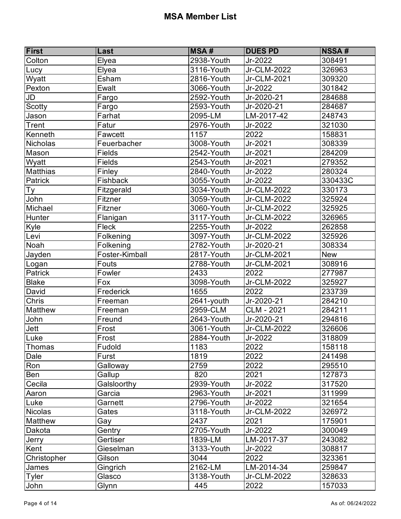| First           | Last           | <b>MSA#</b> | <b>DUES PD</b> | <b>NSSA#</b> |
|-----------------|----------------|-------------|----------------|--------------|
| Colton          | Elyea          | 2938-Youth  | Jr-2022        | 308491       |
| Lucy            | Elyea          | 3116-Youth  | Jr-CLM-2022    | 326963       |
| Wyatt           | Esham          | 2816-Youth  | Jr-CLM-2021    | 309320       |
| Pexton          | Ewalt          | 3066-Youth  | Jr-2022        | 301842       |
| JD              | Fargo          | 2592-Youth  | Jr-2020-21     | 284688       |
| <b>Scotty</b>   | Fargo          | 2593-Youth  | Jr-2020-21     | 284687       |
| Jason           | Farhat         | 2095-LM     | LM-2017-42     | 248743       |
| Trent           | Fatur          | 2976-Youth  | Jr-2022        | 321030       |
| Kenneth         | Fawcett        | 1157        | 2022           | 158831       |
| Nicholas        | Feuerbacher    | 3008-Youth  | Jr-2021        | 308339       |
| Mason           | Fields         | 2542-Youth  | Jr-2021        | 284209       |
| Wyatt           | Fields         | 2543-Youth  | Jr-2021        | 279352       |
| <b>Matthias</b> | Finley         | 2840-Youth  | Jr-2022        | 280324       |
| Patrick         | Fishback       | 3055-Youth  | Jr-2022        | 330433C      |
| Ty              | Fitzgerald     | 3034-Youth  | Jr-CLM-2022    | 330173       |
| John            | Fitzner        | 3059-Youth  | Jr-CLM-2022    | 325924       |
| Michael         | Fitzner        | 3060-Youth  | Jr-CLM-2022    | 325925       |
| Hunter          | Flanigan       | 3117-Youth  | Jr-CLM-2022    | 326965       |
| Kyle            | Fleck          | 2255-Youth  | Jr-2022        | 262858       |
| Levi            | Folkening      | 3097-Youth  | Jr-CLM-2022    | 325926       |
| Noah            | Folkening      | 2782-Youth  | Jr-2020-21     | 308334       |
| Jayden          | Foster-Kimball | 2817-Youth  | $Jr$ -CLM-2021 | <b>New</b>   |
| Logan           | Fouts          | 2788-Youth  | Jr-CLM-2021    | 308916       |
| Patrick         | Fowler         | 2433        | 2022           | 277987       |
| <b>Blake</b>    | Fox            | 3098-Youth  | Jr-CLM-2022    | 325927       |
| David           | Frederick      | 1655        | 2022           | 233739       |
| Chris           | Freeman        | 2641-youth  | Jr-2020-21     | 284210       |
| <b>Matthew</b>  | Freeman        | 2959-CLM    | CLM - 2021     | 284211       |
| John            | Freund         | 2643-Youth  | Jr-2020-21     | 294816       |
| Jett            | Frost          | 3061-Youth  | Jr-CLM-2022    | 326606       |
| Luke            | Frost          | 2884-Youth  | Jr-2022        | 318809       |
| Thomas          | Fudold         | 1183        | 2022           | 158118       |
| Dale            | Furst          | 1819        | 2022           | 241498       |
| Ron             | Galloway       | 2759        | 2022           | 295510       |
| Ben             | Gallup         | 820         | 2021           | 127873       |
| Cecila          | Galsloorthy    | 2939-Youth  | Jr-2022        | 317520       |
| Aaron           | Garcia         | 2963-Youth  | Jr-2021        | 311999       |
| Luke            | Garnett        | 2796-Youth  | Jr-2022        | 321654       |
| Nicolas         | Gates          | 3118-Youth  | Jr-CLM-2022    | 326972       |
| Matthew         | Gay            | 2437        | 2021           | 175901       |
| Dakota          | Gentry         | 2705-Youth  | Jr-2022        | 300049       |
| Jerry           | Gertiser       | 1839-LM     | LM-2017-37     | 243082       |
| Kent            | Gieselman      | 3133-Youth  | Jr-2022        | 308817       |
| Christopher     | Gilson         | 3044        | 2022           | 323361       |
| James           | Gingrich       | 2162-LM     | LM-2014-34     | 259847       |
| Tyler           | Glasco         | 3138-Youth  | Jr-CLM-2022    | 328633       |
| John            | Glynn          | 445         | 2022           | 157033       |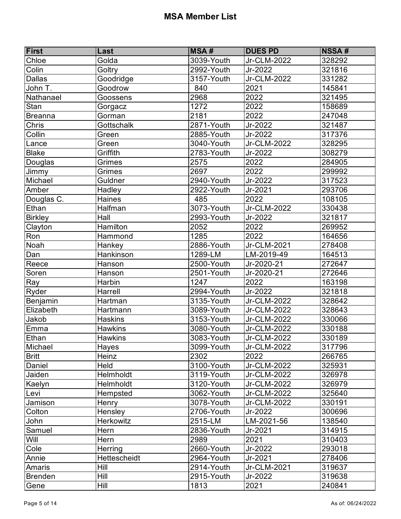| First          | Last             | <b>MSA#</b>    | <b>DUES PD</b> | <b>NSSA#</b> |
|----------------|------------------|----------------|----------------|--------------|
| Chloe          | Golda            | 3039-Youth     | Jr-CLM-2022    | 328292       |
| Colin          | Goltry           | 2992-Youth     | Jr-2022        | 321816       |
| <b>Dallas</b>  | Goodridge        | 3157-Youth     | Jr-CLM-2022    | 331282       |
| John T.        | Goodrow          | 840            | 2021           | 145841       |
| Nathanael      | Goossens         | 2968           | 2022           | 321495       |
| Stan           | Gorgacz          | 1272           | 2022           | 158689       |
| Breanna        | Gorman           | 2181           | 2022           | 247048       |
| Chris          | Gottschalk       | $2871 -$ Youth | Jr-2022        | 321487       |
| Collin         | Green            | 2885-Youth     | Jr-2022        | 317376       |
| Lance          | Green            | 3040-Youth     | Jr-CLM-2022    | 328295       |
| <b>Blake</b>   | Griffith         | 2783-Youth     | Jr-2022        | 308279       |
| Douglas        | Grimes           | 2575           | 2022           | 284905       |
| Jimmy          | Grimes           | 2697           | 2022           | 299992       |
| Michael        | Guldner          | $2940$ -Youth  | Jr-2022        | 317523       |
| Amber          | Hadley           | 2922-Youth     | Jr-2021        | 293706       |
| Douglas C.     | Haines           | 485            | 2022           | 108105       |
| Ethan          | Halfman          | 3073-Youth     | Jr-CLM-2022    | 330438       |
| <b>Birkley</b> | Hall             | 2993-Youth     | Jr-2022        | 321817       |
| Clayton        | Hamilton         | 2052           | 2022           | 269952       |
| Ron            | Hammond          | 1285           | 2022           | 164656       |
| Noah           | Hankey           | 2886-Youth     | Jr-CLM-2021    | 278408       |
| Dan            | Hankinson        | 1289-LM        | LM-2019-49     | 164513       |
| Reece          | Hanson           | 2500-Youth     | Jr-2020-21     | 272647       |
| Soren          | Hanson           | 2501-Youth     | Jr-2020-21     | 272646       |
| Ray            | Harbin           | 1247           | 2022           | 163198       |
| Ryder          | Harrell          | $2994 -$ Youth | Jr-2022        | 321818       |
| Benjamin       | Hartman          | 3135-Youth     | Jr-CLM-2022    | 328642       |
| Elizabeth      | Hartmann         | 3089-Youth     | Jr-CLM-2022    | 328643       |
| Jakob          | <b>Haskins</b>   | 3153-Youth     | Jr-CLM-2022    | 330066       |
| Emma           | <b>Hawkins</b>   | 3080-Youth     | Jr-CLM-2022    | 330188       |
| Ethan          | <b>Hawkins</b>   | 3083-Youth     | Jr-CLM-2022    | 330189       |
| Michael        | Hayes            | 3099-Youth     | Jr-CLM-2022    | 317796       |
| <b>Britt</b>   | Heinz            | 2302           | 2022           | 266765       |
| Daniel         | Held             | 3100-Youth     | Jr-CLM-2022    | 325931       |
| Jaiden         | Helmholdt        | 3119-Youth     | Jr-CLM-2022    | 326978       |
| Kaelyn         | Helmholdt        | 3120-Youth     | Jr-CLM-2022    | 326979       |
| Levi           | Hempsted         | 3062-Youth     | Jr-CLM-2022    | 325640       |
| Jamison        | Henry            | 3078-Youth     | Jr-CLM-2022    | 330191       |
| Colton         | Hensley          | 2706-Youth     | Jr-2022        | 300696       |
| John           | <b>Herkowitz</b> | 2515-LM        | LM-2021-56     | 138540       |
| Samuel         | Hern             | 2836-Youth     | Jr-2021        | 314915       |
| Will           | Hern             | 2989           | 2021           | 310403       |
| Cole           | Herring          | 2660-Youth     | Jr-2022        | 293018       |
| Annie          | Hettescheidt     | 2964-Youth     | Jr-2021        | 278406       |
| Amaris         | <b>Hill</b>      | 2914-Youth     | Jr-CLM-2021    | 319637       |
| Brenden        | Hill             | 2915-Youth     | Jr-2022        | 319638       |
| Gene           | Hill             | 1813           | 2021           | 240841       |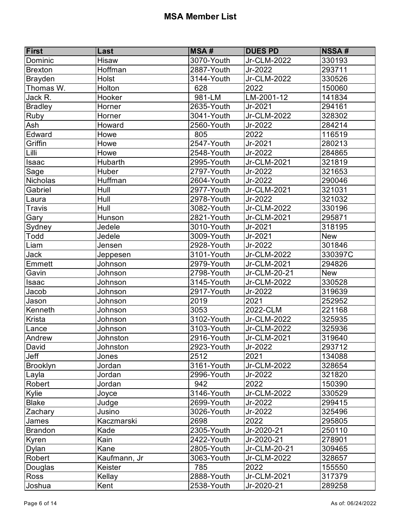| First           | Last         | <b>MSA#</b>    | <b>DUES PD</b> | <b>NSSA#</b> |
|-----------------|--------------|----------------|----------------|--------------|
| Dominic         | Hisaw        | 3070-Youth     | Jr-CLM-2022    | 330193       |
| Brexton         | Hoffman      | 2887-Youth     | Jr-2022        | 293711       |
| Brayden         | Holst        | 3144-Youth     | Jr-CLM-2022    | 330526       |
| Thomas W.       | Holton       | 628            | 2022           | 150060       |
| Jack R.         | Hooker       | 981-LM         | LM-2001-12     | 141834       |
| <b>Bradley</b>  | Horner       | 2635-Youth     | Jr-2021        | 294161       |
| Ruby            | Horner       | 3041-Youth     | Jr-CLM-2022    | 328302       |
| Ash             | Howard       | 2560-Youth     | Jr-2022        | 284214       |
| Edward          | Howe         | 805            | 2022           | 116519       |
| Griffin         | Howe         | $2547 - Youth$ | Jr-2021        | 280213       |
| Lilli           | Howe         | 2548-Youth     | Jr-2022        | 284865       |
| Isaac           | Hubarth      | 2995-Youth     | Jr-CLM-2021    | 321819       |
| Sage            | Huber        | $2797 -$ Youth | Jr-2022        | 321653       |
| <b>Nicholas</b> | Huffman      | 2604-Youth     | Jr-2022        | 290046       |
| Gabriel         | Hull         | 2977-Youth     | Jr-CLM-2021    | 321031       |
| Laura           | Hull         | 2978-Youth     | Jr-2022        | 321032       |
| Travis          | Hull         | 3082-Youth     | Jr-CLM-2022    | 330196       |
| Gary            | Hunson       | 2821-Youth     | $Jr$ -CLM-2021 | 295871       |
| Sydney          | Jedele       | 3010-Youth     | Jr-2021        | 318195       |
| Todd            | Jedele       | 3009-Youth     | Jr-2021        | <b>New</b>   |
| Liam            | Jensen       | 2928-Youth     | Jr-2022        | 301846       |
| <b>Jack</b>     | Jeppesen     | 3101-Youth     | Jr-CLM-2022    | 330397C      |
| Emmett          | Johnson      | 2979-Youth     | Jr-CLM-2021    | 294826       |
| Gavin           | Johnson      | 2798-Youth     | Jr-CLM-20-21   | <b>New</b>   |
| Isaac           | Johnson      | 3145-Youth     | Jr-CLM-2022    | 330528       |
| Jacob           | Johnson      | 2917-Youth     | Jr-2022        | 319639       |
| Jason           | Johnson      | 2019           | 2021           | 252952       |
| Kenneth         | Johnson      | 3053           | 2022-CLM       | 221168       |
| Krista          | Johnson      | 3102-Youth     | Jr-CLM-2022    | 325935       |
| Lance           | Johnson      | 3103-Youth     | Jr-CLM-2022    | 325936       |
| Andrew          | Johnston     | 2916-Youth     | Jr-CLM-2021    | 319640       |
| David           | Johnston     | 2923-Youth     | Jr-2022        | 293712       |
| Jeff            | Jones        | 2512           | 2021           | 134088       |
| Brooklyn        | Jordan       | 3161-Youth     | Jr-CLM-2022    | 328654       |
| Layla           | Jordan       | 2996-Youth     | Jr-2022        | 321820       |
| Robert          | Jordan       | 942            | 2022           | 150390       |
| Kylie           | Joyce        | 3146-Youth     | Jr-CLM-2022    | 330529       |
| <b>Blake</b>    | Judge        | 2699-Youth     | Jr-2022        | 299415       |
| Zachary         | Jusino       | 3026-Youth     | Jr-2022        | 325496       |
| James           | Kaczmarski   | 2698           | 2022           | 295805       |
| <b>Brandon</b>  | Kade         | 2305-Youth     | Jr-2020-21     | 250110       |
| Kyren           | Kain         | 2422-Youth     | Jr-2020-21     | 278901       |
| Dylan           | Kane         | 2805-Youth     | Jr-CLM-20-21   | 309465       |
| Robert          | Kaufmann, Jr | 3063-Youth     | Jr-CLM-2022    | 328657       |
| Douglas         | Keister      | 785            | 2022           | 155550       |
| <b>Ross</b>     | Kellay       | 2888-Youth     | Jr-CLM-2021    | 317379       |
| Joshua          | Kent         | 2538-Youth     | Jr-2020-21     | 289258       |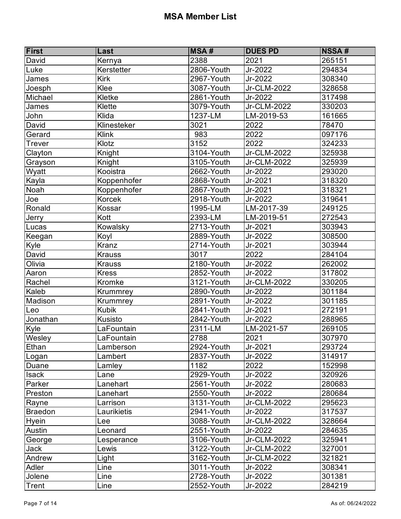| First          | Last          | <b>MSA#</b>    | <b>DUES PD</b> | <b>NSSA#</b> |
|----------------|---------------|----------------|----------------|--------------|
| David          | Kernya        | 2388           | 2021           | 265151       |
| Luke           | Kerstetter    | 2806-Youth     | Jr-2022        | 294834       |
| James          | Kirk          | 2967-Youth     | Jr-2022        | 308340       |
| Joesph         | Klee          | 3087-Youth     | Jr-CLM-2022    | 328658       |
| Michael        | Kletke        | 2861-Youth     | Jr-2022        | 317498       |
| James          | Klette        | 3079-Youth     | Jr-CLM-2022    | 330203       |
| John           | Klida         | 1237-LM        | LM-2019-53     | 161665       |
| David          | Klinesteker   | 3021           | 2022           | 78470        |
| Gerard         | Klink         | 983            | 2022           | 097176       |
| <b>Trever</b>  | Klotz         | 3152           | 2022           | 324233       |
| Clayton        | Knight        | 3104-Youth     | Jr-CLM-2022    | 325938       |
| Grayson        | Knight        | 3105-Youth     | Jr-CLM-2022    | 325939       |
| Wyatt          | Kooistra      | 2662-Youth     | Jr-2022        | 293020       |
| Kayla          | Koppenhofer   | 2868-Youth     | Jr-2021        | 318320       |
| Noah           | Koppenhofer   | 2867-Youth     | Jr-2021        | 318321       |
| Joe            | Korcek        | 2918-Youth     | Jr-2022        | 319641       |
| Ronald         | Kossar        | 1995-LM        | LM-2017-39     | 249125       |
| Jerry          | Kott          | 2393-LM        | LM-2019-51     | 272543       |
| Lucas          | Kowalsky      | $2713 -$ Youth | Jr-2021        | 303943       |
| Keegan         | Koyl          | 2889-Youth     | Jr-2022        | 308500       |
| Kyle           | Kranz         | 2714-Youth     | Jr-2021        | 303944       |
| David          | <b>Krauss</b> | 3017           | 2022           | 284104       |
| Olivia         | <b>Krauss</b> | 2180-Youth     | Jr-2022        | 262002       |
| Aaron          | <b>Kress</b>  | 2852-Youth     | Jr-2022        | 317802       |
| Rachel         | Kromke        | 3121-Youth     | Jr-CLM-2022    | 330205       |
| Kaleb          | Krummrey      | 2890-Youth     | Jr-2022        | 301184       |
| Madison        | Krummrey      | 2891-Youth     | Jr-2022        | 301185       |
| Leo            | <b>Kubik</b>  | 2841-Youth     | Jr-2021        | 272191       |
| Jonathan       | Kusisto       | 2842-Youth     | Jr-2022        | 288965       |
| Kyle           | LaFountain    | 2311-LM        | LM-2021-57     | 269105       |
| Wesley         | LaFountain    | 2788           | 2021           | 307970       |
| Ethan          | Lamberson     | 2924-Youth     | Jr-2021        | 293724       |
| Logan          | Lambert       | 2837-Youth     | Jr-2022        | 314917       |
| Duane          | Lamley        | 1182           | 2022           | 152998       |
| <b>Isack</b>   | Lane          | 2929-Youth     | Jr-2022        | 320926       |
| Parker         | Lanehart      | 2561-Youth     | Jr-2022        | 280683       |
| Preston        | Lanehart      | 2550-Youth     | Jr-2022        | 280684       |
| Rayne          | Larrison      | 3131-Youth     | Jr-CLM-2022    | 295623       |
| <b>Braedon</b> | Laurikietis   | 2941-Youth     | Jr-2022        | 317537       |
| <b>Hyein</b>   | Lee           | 3088-Youth     | Jr-CLM-2022    | 328664       |
| Austin         | Leonard       | 2551-Youth     | Jr-2022        | 284635       |
| George         | Lesperance    | 3106-Youth     | Jr-CLM-2022    | 325941       |
| <b>Jack</b>    | Lewis         | 3122-Youth     | Jr-CLM-2022    | 327001       |
| Andrew         | Light         | 3162-Youth     | Jr-CLM-2022    | 321821       |
| Adler          | Line          | 3011-Youth     | Jr-2022        | 308341       |
| Jolene         | Line          | 2728-Youth     | Jr-2022        | 301381       |
| Trent          | Line          | 2552-Youth     | Jr-2022        | 284219       |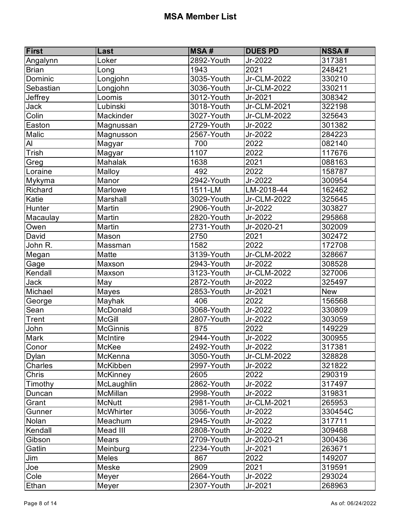| <b>First</b>   | Last            | <b>MSA#</b>    | <b>DUES PD</b> | <b>NSSA#</b> |
|----------------|-----------------|----------------|----------------|--------------|
| Angalynn       | Loker           | 2892-Youth     | Jr-2022        | 317381       |
| <b>Brian</b>   | Long            | 1943           | 2021           | 248421       |
| Dominic        | Longjohn        | 3035-Youth     | Jr-CLM-2022    | 330210       |
| Sebastian      | Longjohn        | 3036-Youth     | Jr-CLM-2022    | 330211       |
| Jeffrey        | Loomis          | 3012-Youth     | Jr-2021        | 308342       |
| Jack           | Lubinski        | 3018-Youth     | Jr-CLM-2021    | 322198       |
| Colin          | Mackinder       | 3027-Youth     | Jr-CLM-2022    | 325643       |
| Easton         | Magnussan       | 2729-Youth     | Jr-2022        | 301382       |
| Malic          | Magnusson       | 2567-Youth     | Jr-2022        | 284223       |
| $\overline{A}$ | Magyar          | 700            | 2022           | 082140       |
| Trish          | Magyar          | 1107           | 2022           | 117676       |
| Greg           | Mahalak         | 1638           | 2021           | 088163       |
| Loraine        | Malloy          | 492            | 2022           | 158787       |
| Mykyma         | Manor           | 2942-Youth     | Jr-2022        | 300954       |
| Richard        | Marlowe         | 1511-LM        | LM-2018-44     | 162462       |
| Katie          | Marshall        | 3029-Youth     | Jr-CLM-2022    | 325645       |
| Hunter         | Martin          | 2906-Youth     | Jr-2022        | 303827       |
| Macaulay       | Martin          | 2820-Youth     | Jr-2022        | 295868       |
| Owen           | Martin          | 2731-Youth     | Jr-2020-21     | 302009       |
| David          | Mason           | 2750           | 2021           | 302472       |
| John R.        | Massman         | 1582           | 2022           | 172708       |
| Megan          | Matte           | 3139-Youth     | Jr-CLM-2022    | 328667       |
| Gage           | Maxson          | 2943-Youth     | Jr-2022        | 308528       |
| Kendall        | Maxson          | $3123 -$ Youth | Jr-CLM-2022    | 327006       |
| <b>Jack</b>    | May             | 2872-Youth     | Jr-2022        | 325497       |
| Michael        | Mayes           | 2853-Youth     | Jr-2021        | <b>New</b>   |
| George         | Mayhak          | 406            | 2022           | 156568       |
| Sean           | McDonald        | 3068-Youth     | Jr-2022        | 330809       |
| Trent          | <b>McGill</b>   | 2807-Youth     | Jr-2022        | 303059       |
| John           | <b>McGinnis</b> | 875            | 2022           | 149229       |
| <b>Mark</b>    | <b>McIntire</b> | 2944-Youth     | Jr-2022        | 300955       |
| Conor          | McKee           | 2492-Youth     | Jr-2022        | 317381       |
| <b>Dylan</b>   | McKenna         | 3050-Youth     | Jr-CLM-2022    | 328828       |
| Charles        | McKibben        | 2997-Youth     | Jr-2022        | 321822       |
| Chris          | <b>McKinney</b> | 2605           | 2022           | 290319       |
| Timothy        | McLaughlin      | 2862-Youth     | Jr-2022        | 317497       |
| Duncan         | McMillan        | 2998-Youth     | Jr-2022        | 319831       |
| Grant          | <b>McNutt</b>   | 2981-Youth     | Jr-CLM-2021    | 265953       |
| Gunner         | McWhirter       | 3056-Youth     | Jr-2022        | 330454C      |
| Nolan          | Meachum         | 2945-Youth     | Jr-2022        | 317711       |
| Kendall        | Mead III        | 2808-Youth     | Jr-2022        | 309468       |
| Gibson         | Mears           | 2709-Youth     | Jr-2020-21     | 300436       |
| Gatlin         | Meinburg        | 2234-Youth     | Jr-2021        | 263671       |
| Jim            | <b>Meles</b>    | 867            | 2022           | 149207       |
| Joe            | Meske           | 2909           | 2021           | 319591       |
| Cole           | Meyer           | 2664-Youth     | Jr-2022        | 293024       |
| Ethan          | Meyer           | 2307-Youth     | Jr-2021        | 268963       |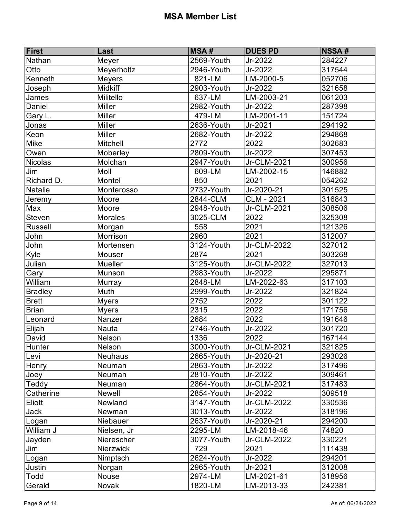| First          | Last           | <b>MSA#</b>              | <b>DUES PD</b>    | <b>NSSA#</b> |
|----------------|----------------|--------------------------|-------------------|--------------|
| Nathan         | Meyer          | 2569-Youth               | Jr-2022           | 284227       |
| Otto           | Meyerholtz     | 2946-Youth               | Jr-2022           | 317544       |
| Kenneth        | <b>Meyers</b>  | 821-LM                   | LM-2000-5         | 052706       |
| Joseph         | <b>Midkiff</b> | 2903-Youth               | Jr-2022           | 321658       |
| James          | Militello      | 637-LM                   | LM-2003-21        | 061203       |
| Daniel         | <b>Miller</b>  | 2982-Youth               | Jr-2022           | 287398       |
| Gary L.        | <b>Miller</b>  | 479-LM                   | LM-2001-11        | 151724       |
| Jonas          | Miller         | 2636-Youth               | Jr-2021           | 294192       |
| Keon           | Miller         | 2682-Youth               | Jr-2022           | 294868       |
| Mike           | Mitchell       | 2772                     | 2022              | 302683       |
| Owen           | Moberley       | 2809-Youth               | Jr-2022           | 307453       |
| <b>Nicolas</b> | Molchan        | 2947-Youth               | Jr-CLM-2021       | 300956       |
| Jim            | Moll           | 609-LM                   | LM-2002-15        | 146882       |
| Richard D.     | Montel         | 850                      | 2021              | 054262       |
| <b>Natalie</b> | Monterosso     | 2732-Youth               | Jr-2020-21        | 301525       |
| Jeremy         | Moore          | 2844-CLM                 | <b>CLM - 2021</b> | 316843       |
| Max            | Moore          | 2948-Youth               | Jr-CLM-2021       | 308506       |
| <b>Steven</b>  | <b>Morales</b> | 3025-CLM                 | 2022              | 325308       |
| Russell        | Morgan         | 558                      | 2021              | 121326       |
| John           | Morrison       | 2960                     | 2021              | 312007       |
| John           | Mortensen      | 3124-Youth               | $Jr$ -CLM-2022    | 327012       |
| Kyle           | Mouser         | 2874                     | 2021              | 303268       |
| Julian         | Mueller        | $\overline{3}$ 125-Youth | Jr-CLM-2022       | 327013       |
| Gary           | Munson         | 2983-Youth               | Jr-2022           | 295871       |
| William        | Murray         | 2848-LM                  | LM-2022-63        | 317103       |
| <b>Bradley</b> | Muth           | 2999-Youth               | Jr-2022           | 321824       |
| <b>Brett</b>   | <b>Myers</b>   | 2752                     | 2022              | 301122       |
| <b>Brian</b>   | <b>Myers</b>   | 2315                     | 2022              | 171756       |
| Leonard        | Nanzer         | 2684                     | 2022              | 191646       |
| Elijah         | Nauta          | 2746-Youth               | Jr-2022           | 301720       |
| David          | <b>Nelson</b>  | 1336                     | 2022              | 167144       |
| Hunter         | Nelson         | 3000-Youth               | Jr-CLM-2021       | 321825       |
| Levi           | <b>Neuhaus</b> | 2665-Youth               | Jr-2020-21        | 293026       |
| Henry          | Neuman         | 2863-Youth               | Jr-2022           | 317496       |
| Joey           | Neuman         | 2810-Youth               | Jr-2022           | 309461       |
| Teddy          | Neuman         | 2864-Youth               | Jr-CLM-2021       | 317483       |
| Catherine      | Newell         | 2854-Youth               | Jr-2022           | 309518       |
| Eliott         | Newland        | 3147-Youth               | Jr-CLM-2022       | 330536       |
| <b>Jack</b>    | Newman         | 3013-Youth               | Jr-2022           | 318196       |
| Logan          | Niebauer       | 2637-Youth               | Jr-2020-21        | 294200       |
| William J      | Nielsen, Jr    | 2295-LM                  | LM-2018-46        | 74820        |
| Jayden         | Nierescher     | 3077-Youth               | Jr-CLM-2022       | 330221       |
| Jim            | Nierzwick      | 729                      | 2021              | 111438       |
| Logan          | Nimptsch       | 2624-Youth               | Jr-2022           | 294201       |
| Justin         | Norgan         | 2965-Youth               | Jr-2021           | 312008       |
| Todd           | Nouse          | 2974-LM                  | LM-2021-61        | 318956       |
| Gerald         | Novak          | 1820-LM                  | LM-2013-33        | 242381       |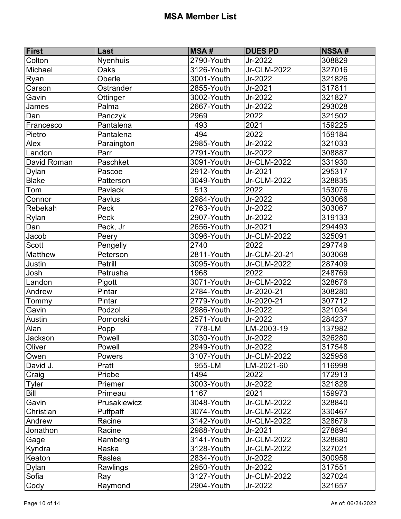| First        | Last         | <b>MSA#</b> | <b>DUES PD</b> | <b>NSSA#</b> |
|--------------|--------------|-------------|----------------|--------------|
| Colton       | Nyenhuis     | 2790-Youth  | Jr-2022        | 308829       |
| Michael      | Oaks         | 3126-Youth  | Jr-CLM-2022    | 327016       |
| Ryan         | Oberle       | 3001-Youth  | Jr-2022        | 321826       |
| Carson       | Ostrander    | 2855-Youth  | Jr-2021        | 317811       |
| Gavin        | Ottinger     | 3002-Youth  | Jr-2022        | 321827       |
| James        | Palma        | 2667-Youth  | Jr-2022        | 293028       |
| Dan          | Panczyk      | 2969        | 2022           | 321502       |
| Francesco    | Pantalena    | 493         | 2021           | 159225       |
| Pietro       | Pantalena    | 494         | 2022           | 159184       |
| Alex         | Paraington   | 2985-Youth  | Jr-2022        | 321033       |
| Landon       | Parr         | 2791-Youth  | Jr-2022        | 308887       |
| David Roman  | Paschket     | 3091-Youth  | Jr-CLM-2022    | 331930       |
| Dylan        | Pascoe       | 2912-Youth  | Jr-2021        | 295317       |
| <b>Blake</b> | Patterson    | 3049-Youth  | Jr-CLM-2022    | 328835       |
| Tom          | Pavlack      | 513         | 2022           | 153076       |
| Connor       | Pavlus       | 2984-Youth  | Jr-2022        | 303066       |
| Rebekah      | Peck         | 2763-Youth  | Jr-2022        | 303067       |
| Rylan        | Peck         | 2907-Youth  | Jr-2022        | 319133       |
| Dan          | Peck, Jr     | 2656-Youth  | $Jr-2021$      | 294493       |
| Jacob        | Peery        | 3096-Youth  | Jr-CLM-2022    | 325091       |
| <b>Scott</b> | Pengelly     | 2740        | 2022           | 297749       |
| Matthew      | Peterson     | 2811-Youth  | Jr-CLM-20-21   | 303068       |
| Justin       | Petrill      | 3095-Youth  | Jr-CLM-2022    | 287409       |
| Josh         | Petrusha     | 1968        | 2022           | 248769       |
| Landon       | Pigott       | 3071-Youth  | Jr-CLM-2022    | 328676       |
| Andrew       | Pintar       | 2784-Youth  | Jr-2020-21     | 308280       |
| Tommy        | Pintar       | 2779-Youth  | $Jr-2020-21$   | 307712       |
| Gavin        | Podzol       | 2986-Youth  | Jr-2022        | 321034       |
| Austin       | Pomorski     | 2571-Youth  | Jr-2022        | 284237       |
| Alan         | Popp         | 778-LM      | LM-2003-19     | 137982       |
| Jackson      | Powell       | 3030-Youth  | Jr-2022        | 326280       |
| Oliver       | Powell       | 2949-Youth  | Jr-2022        | 317548       |
| Owen         | Powers       | 3107-Youth  | Jr-CLM-2022    | 325956       |
| David J.     | Pratt        | 955-LM      | LM-2021-60     | 116998       |
| Craig        | Priebe       | 1494        | 2022           | 172913       |
| Tyler        | Priemer      | 3003-Youth  | Jr-2022        | 321828       |
| Bill         | Primeau      | 1167        | 2021           | 159973       |
| Gavin        | Prusakiewicz | 3048-Youth  | Jr-CLM-2022    | 328840       |
| Christian    | Puffpaff     | 3074-Youth  | Jr-CLM-2022    | 330467       |
| Andrew       | Racine       | 3142-Youth  | Jr-CLM-2022    | 328679       |
| Jonathon     | Racine       | 2988-Youth  | Jr-2021        | 278894       |
| Gage         | Ramberg      | 3141-Youth  | Jr-CLM-2022    | 328680       |
| Kyndra       | Raska        | 3128-Youth  | Jr-CLM-2022    | 327021       |
| Keaton       | Raslea       | 2834-Youth  | Jr-2022        | 300958       |
| Dylan        | Rawlings     | 2950-Youth  | Jr-2022        | 317551       |
| Sofia        | Ray          | 3127-Youth  | Jr-CLM-2022    | 327024       |
| Cody         | Raymond      | 2904-Youth  | Jr-2022        | 321657       |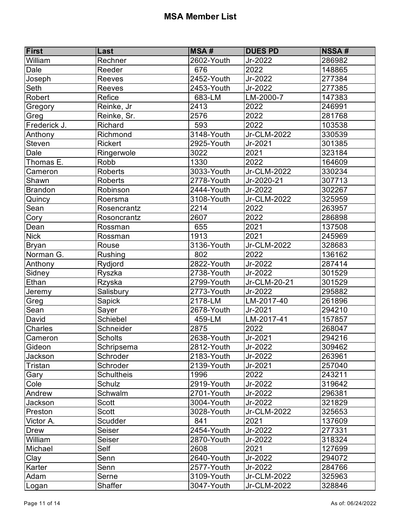| <b>First</b>   | Last              | <b>MSA#</b>   | <b>DUES PD</b> | <b>NSSA#</b> |
|----------------|-------------------|---------------|----------------|--------------|
| William        | Rechner           | 2602-Youth    | Jr-2022        | 286982       |
| Dale           | Reeder            | 676           | 2022           | 148865       |
| Joseph         | Reeves            | $2452$ -Youth | Jr-2022        | 277384       |
| Seth           | Reeves            | 2453-Youth    | Jr-2022        | 277385       |
| Robert         | Refice            | 683-LM        | LM-2000-7      | 147383       |
| Gregory        | Reinke, Jr        | 2413          | 2022           | 246991       |
| Greg           | Reinke, Sr.       | 2576          | 2022           | 281768       |
| Frederick J.   | Richard           | 593           | 2022           | 103538       |
| Anthony        | Richmond          | 3148-Youth    | Jr-CLM-2022    | 330539       |
| Steven         | <b>Rickert</b>    | 2925-Youth    | Jr-2021        | 301385       |
| Dale           | Ringerwole        | 3022          | 2021           | 323184       |
| Thomas E.      | Robb              | 1330          | 2022           | 164609       |
| Cameron        | <b>Roberts</b>    | 3033-Youth    | Jr-CLM-2022    | 330234       |
| Shawn          | <b>Roberts</b>    | 2778-Youth    | Jr-2020-21     | 307713       |
| <b>Brandon</b> | Robinson          | 2444-Youth    | Jr-2022        | 302267       |
| Quincy         | Roersma           | 3108-Youth    | Jr-CLM-2022    | 325959       |
| Sean           | Rosencrantz       | 2214          | 2022           | 263957       |
| Cory           | Rosoncrantz       | 2607          | 2022           | 286898       |
| Dean           | Rossman           | 655           | 2021           | 137508       |
| <b>Nick</b>    | Rossman           | 1913          | 2021           | 245969       |
| <b>Bryan</b>   | Rouse             | 3136-Youth    | Jr-CLM-2022    | 328683       |
| Norman G.      | Rushing           | 802           | 2022           | 136162       |
| Anthony        | Rydjord           | 2822-Youth    | Jr-2022        | 287414       |
| Sidney         | Ryszka            | 2738-Youth    | Jr-2022        | 301529       |
| Ethan          | Rzyska            | 2799-Youth    | Jr-CLM-20-21   | 301529       |
| Jeremy         | Salisbury         | 2773-Youth    | Jr-2022        | 295882       |
| Greg           | Sapick            | 2178-LM       | LM-2017-40     | 261896       |
| Sean           | Sayer             | 2678-Youth    | Jr-2021        | 294210       |
| David          | Schiebel          | 459-LM        | LM-2017-41     | 157857       |
| Charles        | Schneider         | 2875          | 2022           | 268047       |
| Cameron        | <b>Scholts</b>    | 2638-Youth    | Jr-2021        | 294216       |
| Gideon         | Schripsema        | 2812-Youth    | Jr-2022        | 309462       |
| Jackson        | Schroder          | 2183-Youth    | Jr-2022        | 263961       |
| Tristan        | Schroder          | 2139-Youth    | Jr-2021        | 257040       |
| Gary           | <b>Schultheis</b> | 1996          | 2022           | 243211       |
| Cole           | Schulz            | 2919-Youth    | Jr-2022        | 319642       |
| Andrew         | Schwalm           | 2701-Youth    | Jr-2022        | 296381       |
| Jackson        | <b>Scott</b>      | 3004-Youth    | Jr-2022        | 321829       |
| Preston        | <b>Scott</b>      | 3028-Youth    | Jr-CLM-2022    | 325653       |
| Victor A.      | Scudder           | 841           | 2021           | 137609       |
| Drew           | Seiser            | 2454-Youth    | Jr-2022        | 277331       |
| William        | Seiser            | 2870-Youth    | Jr-2022        | 318324       |
| Michael        | Self              | 2608          | 2021           | 127699       |
| Clay           | Senn              | 2640-Youth    | Jr-2022        | 294072       |
| Karter         | Senn              | 2577-Youth    | Jr-2022        | 284766       |
| Adam           | Serne             | 3109-Youth    | Jr-CLM-2022    | 325963       |
| Logan          | Shaffer           | 3047-Youth    | Jr-CLM-2022    | 328846       |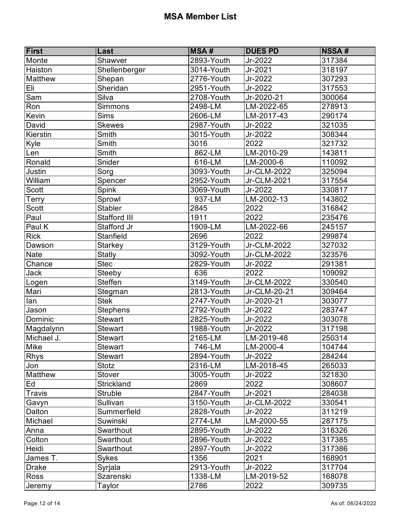| <b>First</b>   | Last              | <b>MSA#</b>    | <b>DUES PD</b> | <b>NSSA#</b> |
|----------------|-------------------|----------------|----------------|--------------|
| Monte          | Shawver           | 2893-Youth     | Jr-2022        | 317384       |
| Haiston        | Shellenberger     | 3014-Youth     | $Jr-2021$      | 318197       |
| <b>Matthew</b> | Shepan            | 2776-Youth     | Jr-2022        | 307293       |
| Eli            | Sheridan          | 2951-Youth     | Jr-2022        | 317553       |
| Sam            | Silva             | 2708-Youth     | Jr-2020-21     | 300064       |
| Ron            | <b>Simmons</b>    | 2498-LM        | LM-2022-65     | 278913       |
| Kevin          | <b>Sims</b>       | 2606-LM        | LM-2017-43     | 290174       |
| David          | <b>Skewes</b>     | 2987-Youth     | Jr-2022        | 321035       |
| Kierstin       | Smith             | 3015-Youth     | Jr-2022        | 308344       |
| Kyle           | Smith             | 3016           | 2022           | 321732       |
| Len            | Smith             | 862-LM         | $LM-2010-29$   | 143811       |
| Ronald         | Snider            | 616-LM         | LM-2000-6      | 110092       |
| Justin         | Sorg              | 3093-Youth     | Jr-CLM-2022    | 325094       |
| William        | Spencer           | 2952-Youth     | Jr-CLM-2021    | 317554       |
| Scott          | Spink             | 3069-Youth     | Jr-2022        | 330817       |
| <b>Terry</b>   | Sprowl            | 937-LM         | LM-2002-13     | 143802       |
| Scott          | <b>Stabler</b>    | 2845           | 2022           | 316842       |
| Paul           | Stafford III      | 1911           | 2022           | 235476       |
| Paul K         | Stafford Jr       | 1909-LM        | LM-2022-66     | 245157       |
| <b>Rick</b>    | <b>Stanfield</b>  | 2696           | 2022           | 299874       |
| Dawson         | <b>Starkey</b>    | 3129-Youth     | Jr-CLM-2022    | 327032       |
| <b>Nate</b>    | <b>Statly</b>     | 3092-Youth     | Jr-CLM-2022    | 323576       |
| Chance         | <b>Stec</b>       | 2829-Youth     | Jr-2022        | 291381       |
| Jack           | Steeby            | 636            | 2022           | 109092       |
| Logen          | <b>Steffen</b>    | 3149-Youth     | Jr-CLM-2022    | 330540       |
| Mari           | Stegman           | 2813-Youth     | Jr-CLM-20-21   | 309464       |
| lan            | <b>Stek</b>       | $2747 - Youth$ | Jr-2020-21     | 303077       |
| Jason          | <b>Stephens</b>   | 2792-Youth     | Jr-2022        | 283747       |
| Dominic        | <b>Stewart</b>    | 2825-Youth     | Jr-2022        | 303078       |
| Magdalynn      | <b>Stewart</b>    | 1988-Youth     | Jr-2022        | 317198       |
| Michael J.     | <b>Stewart</b>    | 2165-LM        | LM-2019-48     | 250314       |
| Mike           | <b>Stewart</b>    | 746-LM         | LM-2000-4      | 104744       |
| <b>Rhys</b>    | <b>Stewart</b>    | 2894-Youth     | Jr-2022        | 284244       |
| Jon            | Stotz             | 2316-LM        | LM-2018-45     | 265033       |
| <b>Matthew</b> | Stover            | 3005-Youth     | Jr-2022        | 321830       |
| Ed             | <b>Strickland</b> | 2869           | 2022           | 308607       |
| Travis         | <b>Struble</b>    | 2847-Youth     | Jr-2021        | 284038       |
| Gavyn          | Sullivan          | 3150-Youth     | Jr-CLM-2022    | 330541       |
| Dalton         | Summerfield       | 2828-Youth     | Jr-2022        | 311219       |
| Michael        | <b>Suwinski</b>   | 2774-LM        | LM-2000-55     | 287175       |
| Anna           | Swarthout         | 2895-Youth     | Jr-2022        | 318326       |
| Colton         | Swarthout         | 2896-Youth     | Jr-2022        | 317385       |
| Heidi          | Swarthout         | 2897-Youth     | Jr-2022        | 317386       |
| James T.       | Sykes             | 1356           | 2021           | 168901       |
| <b>Drake</b>   | Syrjala           | 2913-Youth     | Jr-2022        | 317704       |
| <b>Ross</b>    | Szarenski         | 1338-LM        | LM-2019-52     | 168078       |
| Jeremy         | Taylor            | 2786           | 2022           | 309735       |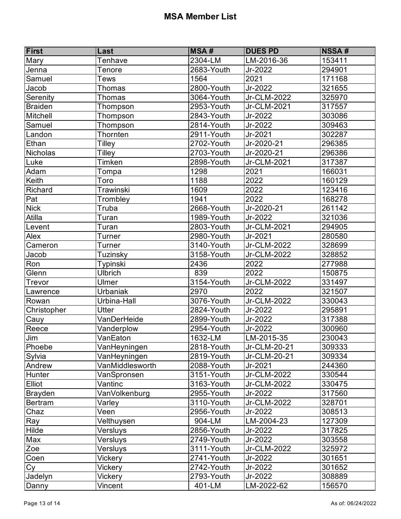| First          | Last            | <b>MSA#</b>    | <b>DUES PD</b> | <b>NSSA#</b> |
|----------------|-----------------|----------------|----------------|--------------|
| Mary           | Tenhave         | 2304-LM        | LM-2016-36     | 153411       |
| Jenna          | Tenore          | 2683-Youth     | Jr-2022        | 294901       |
| Samuel         | Tews            | 1564           | 2021           | 171168       |
| Jacob          | Thomas          | 2800-Youth     | Jr-2022        | 321655       |
| Serenity       | <b>Thomas</b>   | 3064-Youth     | Jr-CLM-2022    | 325970       |
| <b>Braiden</b> | Thompson        | 2953-Youth     | Jr-CLM-2021    | 317557       |
| Mitchell       | Thompson        | 2843-Youth     | Jr-2022        | 303086       |
| Samuel         | Thompson        | 2814-Youth     | Jr-2022        | 309463       |
| Landon         | Thornten        | 2911-Youth     | Jr-2021        | 302287       |
| Ethan          | Tilley          | 2702-Youth     | Jr-2020-21     | 296385       |
| Nicholas       | Tilley          | 2703-Youth     | Jr-2020-21     | 296386       |
| Luke           | Timken          | 2898-Youth     | Jr-CLM-2021    | 317387       |
| Adam           | Tompa           | 1298           | 2021           | 166031       |
| Keith          | Toro            | 1188           | 2022           | 160129       |
| Richard        | Trawinski       | 1609           | 2022           | 123416       |
| Pat            | Trombley        | 1941           | 2022           | 168278       |
| <b>Nick</b>    | Truba           | 2668-Youth     | Jr-2020-21     | 261142       |
| Atilla         | Turan           | 1989-Youth     | Jr-2022        | 321036       |
| Levent         | Turan           | $2803 -$ Youth | Jr-CLM-2021    | 294905       |
| Alex           | Turner          | 2980-Youth     | Jr-2021        | 280580       |
| Cameron        | Turner          | 3140-Youth     | Jr-CLM-2022    | 328699       |
| Jacob          | Tuzinsky        | 3158-Youth     | Jr-CLM-2022    | 328852       |
| Ron            | Typinski        | 2436           | 2022           | 277988       |
| Glenn          | <b>Ulbrich</b>  | 839            | 2022           | 150875       |
| Trevor         | Ulmer           | 3154-Youth     | Jr-CLM-2022    | 331497       |
| Lawrence       | Urbaniak        | 2970           | 2022           | 321507       |
| Rowan          | Urbina-Hall     | 3076-Youth     | Jr-CLM-2022    | 330043       |
| Christopher    | <b>Utter</b>    | 2824-Youth     | Jr-2022        | 295891       |
| Cauy           | VanDerHeide     | 2899-Youth     | Jr-2022        | 317388       |
| Reece          | Vanderplow      | 2954-Youth     | Jr-2022        | 300960       |
| Jim            | VanEaton        | 1632-LM        | LM-2015-35     | 230043       |
| Phoebe         | VanHeyningen    | 2818-Youth     | Jr-CLM-20-21   | 309333       |
| Sylvia         | VanHeyningen    | 2819-Youth     | Jr-CLM-20-21   | 309334       |
| Andrew         | VanMiddlesworth | 2088-Youth     | Jr-2021        | 244360       |
| Hunter         | VanSpronsen     | 3151-Youth     | Jr-CLM-2022    | 330544       |
| Elliot         | Vantinc         | 3163-Youth     | Jr-CLM-2022    | 330475       |
| Brayden        | VanVolkenburg   | 2955-Youth     | Jr-2022        | 317560       |
| <b>Bertram</b> | Varley          | 3110-Youth     | Jr-CLM-2022    | 328701       |
| Chaz           | Veen            | 2956-Youth     | Jr-2022        | 308513       |
| Ray            | Velthuysen      | 904-LM         | LM-2004-23     | 127309       |
| Hilde          | Versluys        | 2856-Youth     | Jr-2022        | 317825       |
| Max            | Versluys        | 2749-Youth     | Jr-2022        | 303558       |
| Zoe            | Versluys        | 3111-Youth     | Jr-CLM-2022    | 325972       |
| Coen           | Vickery         | 2741-Youth     | Jr-2022        | 301651       |
| Cy             | Vickery         | 2742-Youth     | Jr-2022        | 301652       |
| Jadelyn        | Vickery         | 2793-Youth     | Jr-2022        | 308889       |
| Danny          | Vincent         | 401-LM         | LM-2022-62     | 156570       |